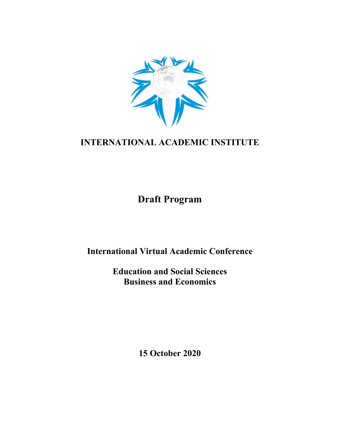

# **INTERNATIONAL ACADEMIC INSTITUTE**

**Draft Program**

**International Virtual Academic Conference**

**Education and Social Sciences Business and Economics**

**15 October 2020**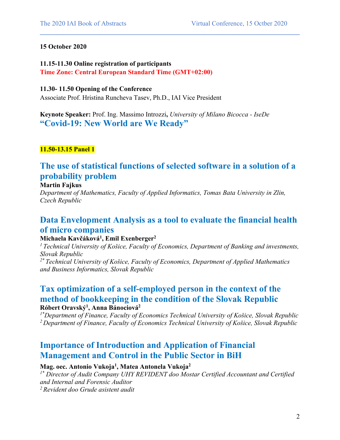#### **15 October 2020**

**11.15-11.30 Online registration of participants Time Zone: Central European Standard Time (GMT+02:00)**

#### **11.30- 11.50 Opening of the Conference**

Associate Prof. Hristina Runcheva Tasev, Ph.D., IAI Vice President

**Keynote Speaker:** Prof. Ing. Massimo Introzzi**,** *University of Milano Bicocca - IseDe* **"Covid-19: New World are We Ready"**

**11.50-13.15 Panel 1**

# **The use of statistical functions of selected software in a solution of a probability problem**

 $\mathcal{L}_\mathcal{L} = \{ \mathcal{L}_\mathcal{L} = \{ \mathcal{L}_\mathcal{L} = \{ \mathcal{L}_\mathcal{L} = \{ \mathcal{L}_\mathcal{L} = \{ \mathcal{L}_\mathcal{L} = \{ \mathcal{L}_\mathcal{L} = \{ \mathcal{L}_\mathcal{L} = \{ \mathcal{L}_\mathcal{L} = \{ \mathcal{L}_\mathcal{L} = \{ \mathcal{L}_\mathcal{L} = \{ \mathcal{L}_\mathcal{L} = \{ \mathcal{L}_\mathcal{L} = \{ \mathcal{L}_\mathcal{L} = \{ \mathcal{L}_\mathcal{$ 

#### **Martin Fajkus**

*Department of Mathematics, Faculty of Applied Informatics, Tomas Bata University in Zlin, Czech Republic*

### **Data Envelopment Analysis as a tool to evaluate the financial health of micro companies**

#### **Michaela Kavčáková1 , Emil Exenberger2**

*1 Technical University of Košice, Faculty of Economics, Department of Banking and investments, Slovak Republic*

*2\* Technical University of Košice, Faculty of Economics, Department of Applied Mathematics and Business Informatics, Slovak Republic*

### **Tax optimization of a self-employed person in the context of the method of bookkeeping in the condition of the Slovak Republic Róbert Oravský1 , Anna Bánociová2**

*1\*Department of Finance, Faculty of Economics Technical University of Košice, Slovak Republic 2 Department of Finance, Faculty of Economics Technical University of Košice, Slovak Republic*

### **Importance of Introduction and Application of Financial Management and Control in the Public Sector in BiH**

#### **Mag. oec. Antonio Vukoja1 , Matea Antonela Vukoja2**

*1\* Director of Audit Company UHY REVIDENT doo Mostar Certified Accountant and Certified and Internal and Forensic Auditor 2 Revident doo Grude asistent audit*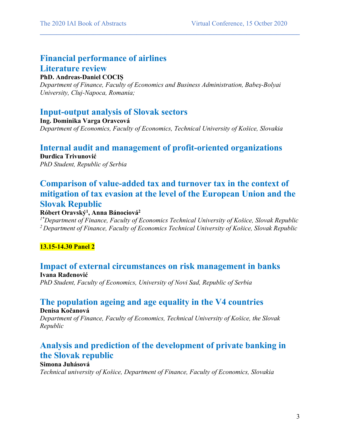# **Financial performance of airlines Literature review**

### **PhD. Andreas-Daniel COCIȘ**

*Department of Finance, Faculty of Economics and Business Administration, Babeş-Bolyai University, Cluj-Napoca, Romania;* 

 $\mathcal{L}_\mathcal{L} = \{ \mathcal{L}_\mathcal{L} = \{ \mathcal{L}_\mathcal{L} = \{ \mathcal{L}_\mathcal{L} = \{ \mathcal{L}_\mathcal{L} = \{ \mathcal{L}_\mathcal{L} = \{ \mathcal{L}_\mathcal{L} = \{ \mathcal{L}_\mathcal{L} = \{ \mathcal{L}_\mathcal{L} = \{ \mathcal{L}_\mathcal{L} = \{ \mathcal{L}_\mathcal{L} = \{ \mathcal{L}_\mathcal{L} = \{ \mathcal{L}_\mathcal{L} = \{ \mathcal{L}_\mathcal{L} = \{ \mathcal{L}_\mathcal{$ 

### **Input-output analysis of Slovak sectors**

**Ing. Dominika Varga Oravcová** *Department of Economics, Faculty of Economics, Technical University of Košice, Slovakia*

### **Internal audit and management of profit-oriented organizations**

**Đurđica Trivunović** *PhD Student, Republic of Serbia*

# **Comparison of value-added tax and turnover tax in the context of mitigation of tax evasion at the level of the European Union and the Slovak Republic**

### **Róbert Oravský1 , Anna Bánociová2**

*1\*Department of Finance, Faculty of Economics Technical University of Košice, Slovak Republic 2 Department of Finance, Faculty of Economics Technical University of Košice, Slovak Republic*

### **13.15-14.30 Panel 2**

### **Impact of external circumstances on risk management in banks Ivana Rađenović**

*PhD Student, Faculty of Economics, University of Novi Sad, Republic of Serbia*

# **The population ageing and age equality in the V4 countries**

**Denisa Kočanová**

*Department of Finance, Faculty of Economics, Technical University of Košice, the Slovak Republic*

### **Analysis and prediction of the development of private banking in the Slovak republic**

#### **Simona Juhásová**

*Technical university of Košice, Department of Finance, Faculty of Economics, Slovakia*